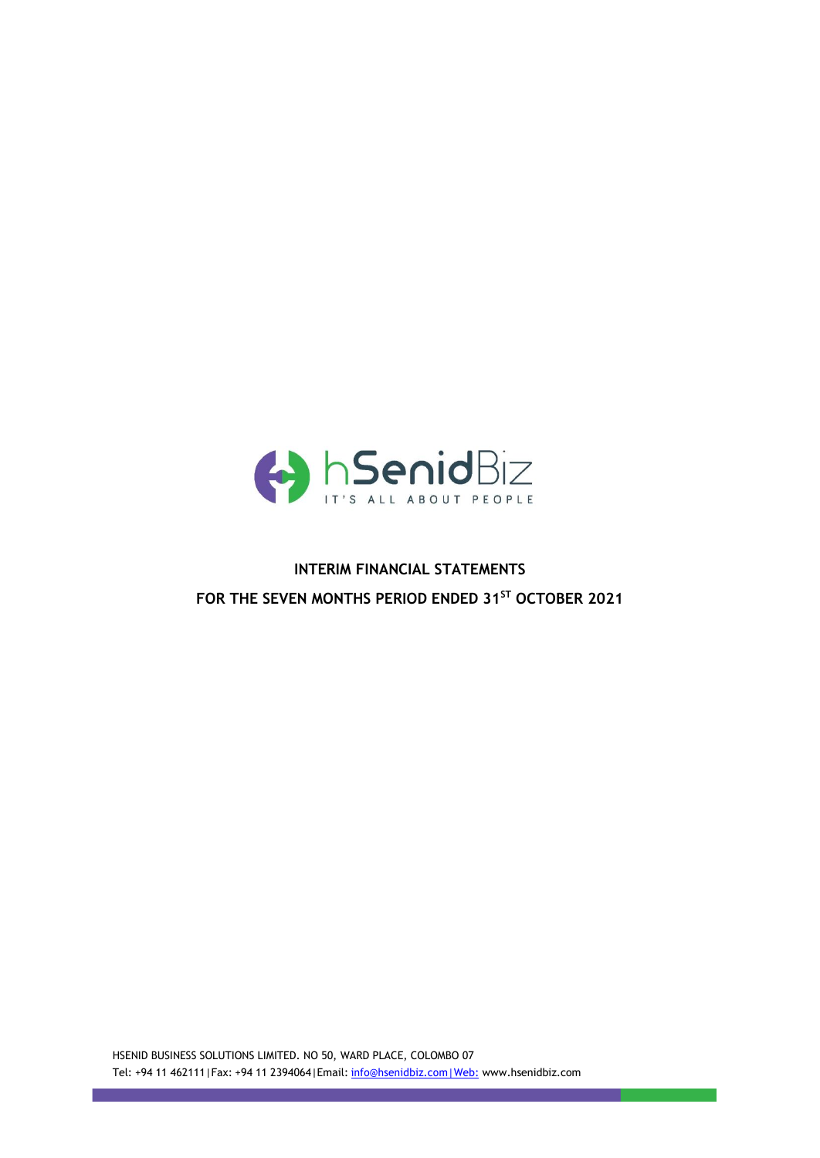

# **INTERIM FINANCIAL STATEMENTS FOR THE SEVEN MONTHS PERIOD ENDED 31 ST OCTOBER 2021**

HSENID BUSINESS SOLUTIONS LIMITED. NO 50, WARD PLACE, COLOMBO 07 Tel: +94 11 462111|Fax: +94 11 2394064|Email: [info@hsenidbiz.com|Web:](mailto:info@hsenidbiz.com%7CWeb:) www.hsenidbiz.com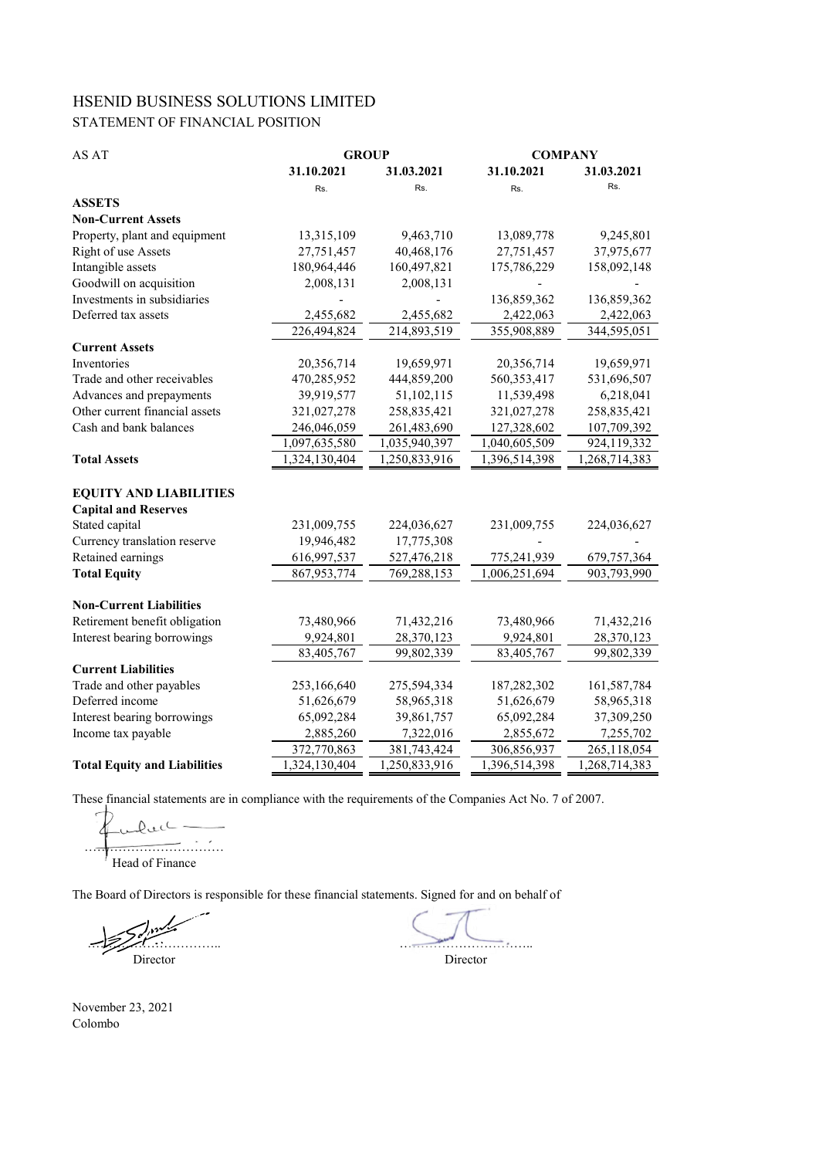# HSENID BUSINESS SOLUTIONS LIMITED STATEMENT OF FINANCIAL POSITION

| AS AT                               | <b>GROUP</b>  |               | <b>COMPANY</b> |               |  |
|-------------------------------------|---------------|---------------|----------------|---------------|--|
|                                     | 31.10.2021    | 31.03.2021    | 31.10.2021     | 31.03.2021    |  |
|                                     | Rs.           | Rs.           | Rs.            | Rs.           |  |
| <b>ASSETS</b>                       |               |               |                |               |  |
| <b>Non-Current Assets</b>           |               |               |                |               |  |
| Property, plant and equipment       | 13,315,109    | 9,463,710     | 13,089,778     | 9,245,801     |  |
| Right of use Assets                 | 27,751,457    | 40,468,176    | 27,751,457     | 37,975,677    |  |
| Intangible assets                   | 180,964,446   | 160,497,821   | 175,786,229    | 158,092,148   |  |
| Goodwill on acquisition             | 2,008,131     | 2,008,131     |                |               |  |
| Investments in subsidiaries         |               |               | 136,859,362    | 136,859,362   |  |
| Deferred tax assets                 | 2,455,682     | 2,455,682     | 2,422,063      | 2,422,063     |  |
|                                     | 226,494,824   | 214,893,519   | 355,908,889    | 344,595,051   |  |
| <b>Current Assets</b>               |               |               |                |               |  |
| Inventories                         | 20,356,714    | 19,659,971    | 20,356,714     | 19,659,971    |  |
| Trade and other receivables         | 470,285,952   | 444,859,200   | 560,353,417    | 531,696,507   |  |
| Advances and prepayments            | 39,919,577    | 51,102,115    | 11,539,498     | 6,218,041     |  |
| Other current financial assets      | 321,027,278   | 258,835,421   | 321,027,278    | 258,835,421   |  |
| Cash and bank balances              | 246,046,059   | 261,483,690   | 127,328,602    | 107,709,392   |  |
|                                     | 1,097,635,580 | 1,035,940,397 | 1,040,605,509  | 924,119,332   |  |
| <b>Total Assets</b>                 | 1,324,130,404 | 1,250,833,916 | 1,396,514,398  | 1,268,714,383 |  |
|                                     |               |               |                |               |  |
| <b>EQUITY AND LIABILITIES</b>       |               |               |                |               |  |
| <b>Capital and Reserves</b>         |               |               |                |               |  |
| Stated capital                      | 231,009,755   | 224,036,627   | 231,009,755    | 224,036,627   |  |
| Currency translation reserve        | 19,946,482    | 17,775,308    |                |               |  |
| Retained earnings                   | 616,997,537   | 527,476,218   | 775,241,939    | 679, 757, 364 |  |
| <b>Total Equity</b>                 | 867, 953, 774 | 769,288,153   | 1,006,251,694  | 903,793,990   |  |
|                                     |               |               |                |               |  |
| <b>Non-Current Liabilities</b>      |               |               |                |               |  |
| Retirement benefit obligation       | 73,480,966    | 71,432,216    | 73,480,966     | 71,432,216    |  |
| Interest bearing borrowings         | 9,924,801     | 28,370,123    | 9,924,801      | 28,370,123    |  |
|                                     | 83,405,767    | 99,802,339    | 83,405,767     | 99,802,339    |  |
| <b>Current Liabilities</b>          |               |               |                |               |  |
| Trade and other payables            | 253,166,640   | 275,594,334   | 187,282,302    | 161,587,784   |  |
| Deferred income                     | 51,626,679    | 58,965,318    | 51,626,679     | 58,965,318    |  |
| Interest bearing borrowings         | 65,092,284    | 39,861,757    | 65,092,284     | 37,309,250    |  |
| Income tax payable                  | 2,885,260     | 7,322,016     | 2,855,672      | 7,255,702     |  |
|                                     | 372,770,863   | 381,743,424   | 306,856,937    | 265,118,054   |  |
| <b>Total Equity and Liabilities</b> | 1,324,130,404 | 1,250,833,916 | 1,396,514,398  | 1,268,714,383 |  |

These financial statements are in compliance with the requirements of the Companies Act No. 7 of 2007.

 $Q_{\text{ul}}$  $\frac{1}{\sqrt{2}}$ Head of Finance

The Board of Directors is responsible for these financial statements. Signed for and on behalf of

 $\sum_{i=1}^{n} a_i$ Director

November 23, 2021 Colombo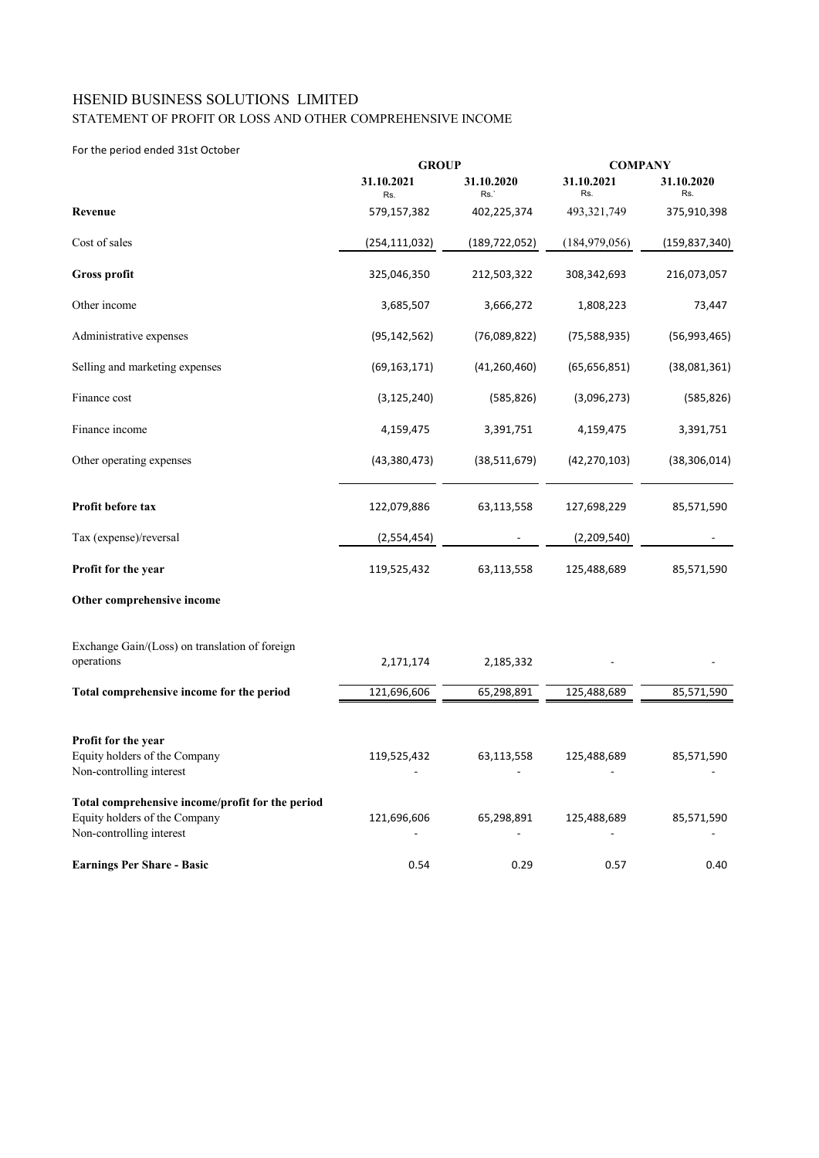## STATEMENT OF PROFIT OR LOSS AND OTHER COMPREHENSIVE INCOME HSENID BUSINESS SOLUTIONS LIMITED

#### For the period ended 31st October

|                                                                                                               | <b>GROUP</b>      |                   | <b>COMPANY</b>    |                   |  |
|---------------------------------------------------------------------------------------------------------------|-------------------|-------------------|-------------------|-------------------|--|
|                                                                                                               | 31.10.2021<br>Rs. | 31.10.2020<br>Rs. | 31.10.2021<br>Rs. | 31.10.2020<br>Rs. |  |
| Revenue                                                                                                       | 579,157,382       | 402,225,374       | 493, 321, 749     | 375,910,398       |  |
| Cost of sales                                                                                                 | (254,111,032)     | (189,722,052)     | (184, 979, 056)   | (159, 837, 340)   |  |
| Gross profit                                                                                                  | 325,046,350       | 212,503,322       | 308,342,693       | 216,073,057       |  |
| Other income                                                                                                  | 3,685,507         | 3,666,272         | 1,808,223         | 73,447            |  |
| Administrative expenses                                                                                       | (95, 142, 562)    | (76,089,822)      | (75, 588, 935)    | (56, 993, 465)    |  |
| Selling and marketing expenses                                                                                | (69, 163, 171)    | (41, 260, 460)    | (65, 656, 851)    | (38,081,361)      |  |
| Finance cost                                                                                                  | (3, 125, 240)     | (585, 826)        | (3,096,273)       | (585, 826)        |  |
| Finance income                                                                                                | 4,159,475         | 3,391,751         | 4,159,475         | 3,391,751         |  |
| Other operating expenses                                                                                      | (43,380,473)      | (38,511,679)      | (42, 270, 103)    | (38, 306, 014)    |  |
| Profit before tax                                                                                             | 122,079,886       | 63,113,558        | 127,698,229       | 85,571,590        |  |
| Tax (expense)/reversal                                                                                        | (2,554,454)       |                   | (2,209,540)       |                   |  |
| Profit for the year                                                                                           | 119,525,432       | 63,113,558        | 125,488,689       | 85,571,590        |  |
| Other comprehensive income                                                                                    |                   |                   |                   |                   |  |
| Exchange Gain/(Loss) on translation of foreign<br>operations                                                  | 2,171,174         | 2,185,332         |                   |                   |  |
| Total comprehensive income for the period                                                                     | 121,696,606       | 65,298,891        | 125,488,689       | 85,571,590        |  |
| Profit for the year<br>Equity holders of the Company<br>Non-controlling interest                              | 119,525,432       | 63,113,558        | 125,488,689       | 85,571,590        |  |
| Total comprehensive income/profit for the period<br>Equity holders of the Company<br>Non-controlling interest | 121,696,606       | 65,298,891        | 125,488,689       | 85,571,590        |  |
| <b>Earnings Per Share - Basic</b>                                                                             | 0.54              | 0.29              | 0.57              | 0.40              |  |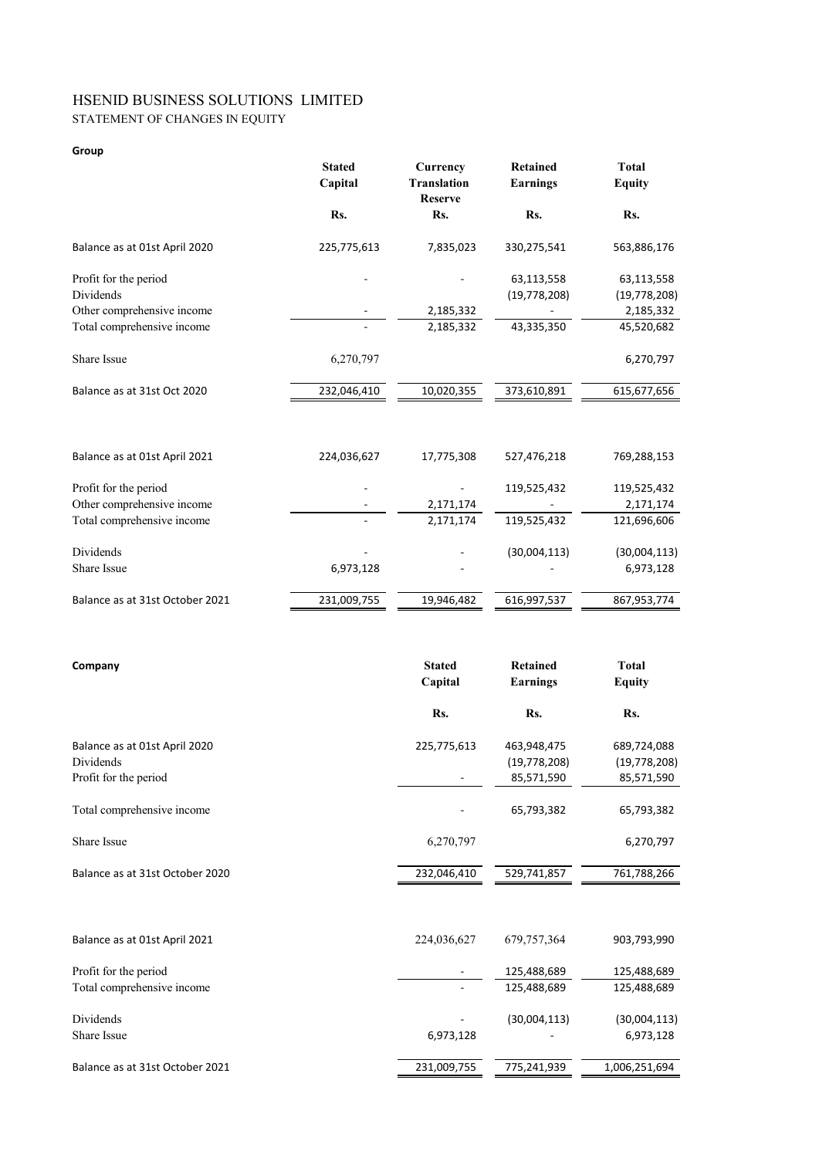## STATEMENT OF CHANGES IN EQUITY HSENID BUSINESS SOLUTIONS LIMITED

#### **Group**

|                                 | <b>Stated</b><br>Capital | Currency<br><b>Translation</b><br><b>Reserve</b> | <b>Retained</b><br><b>Earnings</b> | <b>Total</b><br><b>Equity</b> |
|---------------------------------|--------------------------|--------------------------------------------------|------------------------------------|-------------------------------|
|                                 | Rs.                      | Rs.                                              | Rs.                                | Rs.                           |
| Balance as at 01st April 2020   | 225,775,613              | 7,835,023                                        | 330,275,541                        | 563,886,176                   |
| Profit for the period           |                          |                                                  | 63,113,558                         | 63,113,558                    |
| Dividends                       |                          |                                                  | (19, 778, 208)                     | (19, 778, 208)                |
| Other comprehensive income      |                          | 2,185,332                                        |                                    | 2,185,332                     |
| Total comprehensive income      |                          | 2,185,332                                        | 43,335,350                         | 45,520,682                    |
| Share Issue                     | 6,270,797                |                                                  |                                    | 6,270,797                     |
| Balance as at 31st Oct 2020     | 232,046,410              | 10,020,355                                       | 373,610,891                        | 615,677,656                   |
|                                 |                          |                                                  |                                    |                               |
| Balance as at 01st April 2021   | 224,036,627              | 17,775,308                                       | 527,476,218                        | 769,288,153                   |
| Profit for the period           |                          |                                                  | 119,525,432                        | 119,525,432                   |
| Other comprehensive income      |                          | 2,171,174                                        |                                    | 2,171,174                     |
| Total comprehensive income      |                          | 2,171,174                                        | 119,525,432                        | 121,696,606                   |
| Dividends                       |                          |                                                  | (30,004,113)                       | (30,004,113)                  |
| Share Issue                     | 6,973,128                |                                                  |                                    | 6,973,128                     |
| Balance as at 31st October 2021 | 231,009,755              | 19,946,482                                       | 616,997,537                        | 867,953,774                   |
|                                 |                          |                                                  |                                    |                               |
| Company                         |                          | <b>Stated</b>                                    | <b>Retained</b>                    | <b>Total</b>                  |
|                                 |                          | Capital                                          | <b>Earnings</b>                    | <b>Equity</b>                 |
|                                 |                          | Rs.                                              | Rs.                                | Rs.                           |
| Balance as at 01st April 2020   |                          | 225,775,613                                      | 463,948,475                        | 689,724,088                   |
| Dividends                       |                          |                                                  | (19, 778, 208)                     | (19, 778, 208)                |

Profit for the period 85,571,590 85,571,590 Total comprehensive income 65,793,382 65,793,382 Share Issue 6,270,797 6,270,797 6,270,797 6,270,797 Balance as at 31st October 2020 232,046,410 529,741,857 761,788,266

| Balance as at 01st April 2021   | 224,036,627              | 679, 757, 364 | 903,793,990   |
|---------------------------------|--------------------------|---------------|---------------|
| Profit for the period           | $\overline{\phantom{a}}$ | 125,488,689   | 125,488,689   |
| Total comprehensive income      |                          | 125,488,689   | 125,488,689   |
| Dividends                       | $\overline{\phantom{a}}$ | (30,004,113)  | (30,004,113)  |
| Share Issue                     | 6,973,128                | -             | 6,973,128     |
| Balance as at 31st October 2021 | 231,009,755              | 775,241,939   | 1,006,251,694 |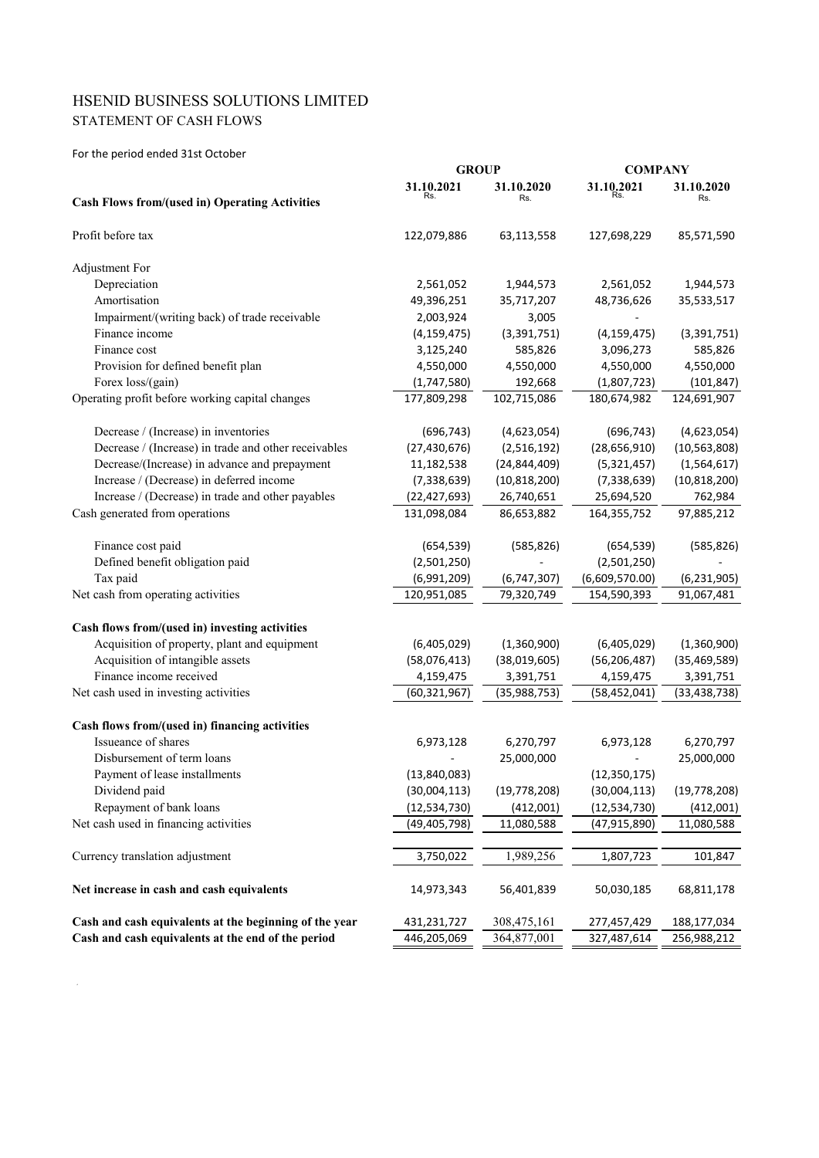# STATEMENT OF CASH FLOWS HSENID BUSINESS SOLUTIONS LIMITED

For the period ended 31st October

|                                                        | <b>GROUP</b>   |                | <b>COMPANY</b> |                |
|--------------------------------------------------------|----------------|----------------|----------------|----------------|
|                                                        | 31.10.2021     | 31.10.2020     | 31.10,2021     | 31.10.2020     |
| <b>Cash Flows from/(used in) Operating Activities</b>  |                | Rs.            |                | Rs.            |
| Profit before tax                                      | 122,079,886    | 63,113,558     | 127,698,229    | 85,571,590     |
| <b>Adjustment For</b>                                  |                |                |                |                |
| Depreciation                                           | 2,561,052      | 1,944,573      | 2,561,052      | 1,944,573      |
| Amortisation                                           | 49,396,251     | 35,717,207     | 48,736,626     | 35,533,517     |
| Impairment/(writing back) of trade receivable          | 2,003,924      | 3,005          |                |                |
| Finance income                                         | (4, 159, 475)  | (3,391,751)    | (4, 159, 475)  | (3, 391, 751)  |
| Finance cost                                           | 3,125,240      | 585,826        | 3,096,273      | 585,826        |
| Provision for defined benefit plan                     | 4,550,000      | 4,550,000      | 4,550,000      | 4,550,000      |
| Forex loss/(gain)                                      | (1,747,580)    | 192,668        | (1,807,723)    | (101, 847)     |
| Operating profit before working capital changes        | 177,809,298    | 102,715,086    | 180,674,982    | 124,691,907    |
| Decrease / (Increase) in inventories                   | (696, 743)     | (4,623,054)    | (696, 743)     | (4,623,054)    |
| Decrease / (Increase) in trade and other receivables   | (27, 430, 676) | (2,516,192)    | (28, 656, 910) | (10, 563, 808) |
| Decrease/(Increase) in advance and prepayment          | 11,182,538     | (24, 844, 409) | (5,321,457)    | (1,564,617)    |
| Increase / (Decrease) in deferred income               | (7, 338, 639)  | (10, 818, 200) | (7, 338, 639)  | (10, 818, 200) |
| Increase / (Decrease) in trade and other payables      | (22, 427, 693) | 26,740,651     | 25,694,520     | 762,984        |
| Cash generated from operations                         | 131,098,084    | 86,653,882     | 164,355,752    | 97,885,212     |
| Finance cost paid                                      | (654, 539)     | (585, 826)     | (654, 539)     | (585, 826)     |
| Defined benefit obligation paid                        | (2,501,250)    |                | (2,501,250)    |                |
| Tax paid                                               | (6,991,209)    | (6, 747, 307)  | (6,609,570.00) | (6, 231, 905)  |
| Net cash from operating activities                     | 120,951,085    | 79,320,749     | 154,590,393    | 91,067,481     |
| Cash flows from/(used in) investing activities         |                |                |                |                |
| Acquisition of property, plant and equipment           | (6,405,029)    | (1,360,900)    | (6,405,029)    | (1,360,900)    |
| Acquisition of intangible assets                       | (58,076,413)   | (38,019,605)   | (56, 206, 487) | (35, 469, 589) |
| Finance income received                                | 4,159,475      | 3,391,751      | 4,159,475      | 3,391,751      |
| Net cash used in investing activities                  | (60, 321, 967) | (35,988,753)   | (58, 452, 041) | (33,438,738)   |
| Cash flows from/(used in) financing activities         |                |                |                |                |
| Issueance of shares                                    | 6,973,128      | 6,270,797      | 6,973,128      | 6,270,797      |
| Disbursement of term loans                             |                | 25,000,000     |                | 25,000,000     |
| Payment of lease installments                          | (13, 840, 083) |                | (12, 350, 175) |                |
| Dividend paid                                          | (30,004,113)   | (19, 778, 208) | (30,004,113)   | (19, 778, 208) |
| Repayment of bank loans                                | (12, 534, 730) | (412,001)      | (12, 534, 730) | (412,001)      |
| Net cash used in financing activities                  | (49, 405, 798) | 11,080,588     | (47, 915, 890) | 11,080,588     |
| Currency translation adjustment                        | 3,750,022      | 1,989,256      | 1,807,723      | 101,847        |
| Net increase in cash and cash equivalents              | 14,973,343     | 56,401,839     | 50,030,185     | 68,811,178     |
| Cash and cash equivalents at the beginning of the year | 431,231,727    | 308,475,161    | 277,457,429    | 188,177,034    |
| Cash and cash equivalents at the end of the period     | 446,205,069    | 364,877,001    | 327,487,614    | 256,988,212    |
|                                                        |                |                |                |                |